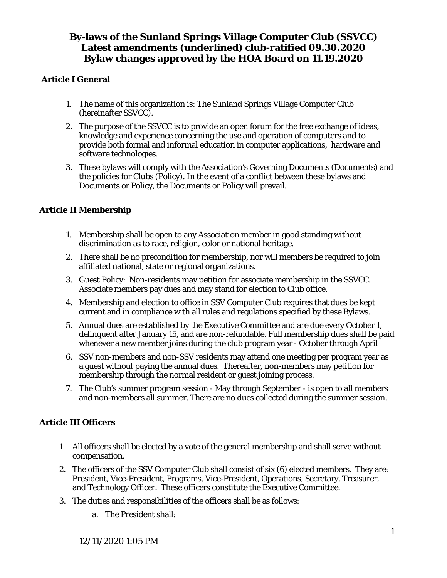### **Article I General**

- 1. The name of this organization is: The Sunland Springs Village Computer Club (hereinafter SSVCC).
- 2. The purpose of the SSVCC is to provide an open forum for the free exchange of ideas, knowledge and experience concerning the use and operation of computers and to provide both formal and informal education in computer applications, hardware and software technologies.
- 3. These bylaws will comply with the Association's Governing Documents (Documents) and the policies for Clubs (Policy). In the event of a conflict between these bylaws and Documents or Policy, the Documents or Policy will prevail.

### **Article II Membership**

- 1. Membership shall be open to any Association member in good standing without discrimination as to race, religion, color or national heritage.
- 2. There shall be no precondition for membership, nor will members be required to join affiliated national, state or regional organizations.
- 3. Guest Policy: Non-residents may petition for associate membership in the SSVCC. Associate members pay dues and may stand for election to Club office.
- 4. Membership and election to office in SSV Computer Club requires that dues be kept current and in compliance with all rules and regulations specified by these Bylaws.
- 5. Annual dues are established by the Executive Committee and are due every October 1, delinquent after January 15, and are non-refundable. Full membership dues shall be paid whenever a new member joins during the club program year - October through April
- 6. SSV non-members and non-SSV residents may attend one meeting per program year as a guest without paying the annual dues. Thereafter, non-members may petition for membership through the normal resident or guest joining process.
- 7. The Club's summer program session May through September is open to all members and non-members all summer. There are no dues collected during the summer session.

### **Article III Officers**

- 1. All officers shall be elected by a vote of the general membership and shall serve without compensation.
- 2. The officers of the SSV Computer Club shall consist of six (6) elected members. They are: President, Vice-President, Programs, Vice-President, Operations, Secretary, Treasurer, and Technology Officer. These officers constitute the Executive Committee.
- 3. The duties and responsibilities of the officers shall be as follows:
	- a. The President shall: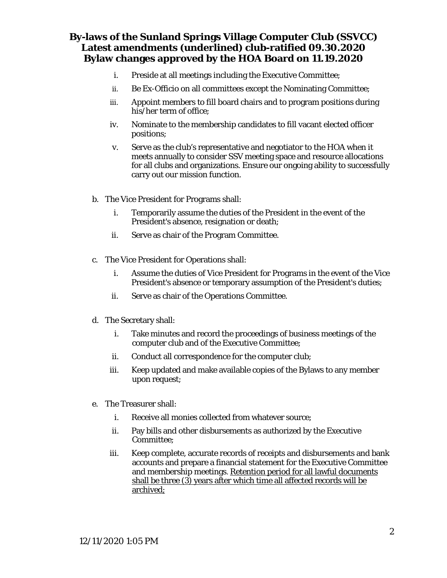- i. Preside at all meetings including the Executive Committee;
- ii. Be Ex-Officio on all committees except the Nominating Committee;
- iii. Appoint members to fill board chairs and to program positions during his/her term of office;
- iv. Nominate to the membership candidates to fill vacant elected officer positions;
- v. Serve as the club's representative and negotiator to the HOA when it meets annually to consider SSV meeting space and resource allocations for all clubs and organizations. Ensure our ongoing ability to successfully carry out our mission function.
- b. The Vice President for Programs shall:
	- i. Temporarily assume the duties of the President in the event of the President's absence, resignation or death;
	- ii. Serve as chair of the Program Committee.
- c. The Vice President for Operations shall:
	- i. Assume the duties of Vice President for Programs in the event of the Vice President's absence or temporary assumption of the President's duties;
	- ii. Serve as chair of the Operations Committee.
- d. The Secretary shall:
	- i. Take minutes and record the proceedings of business meetings of the computer club and of the Executive Committee;
	- ii. Conduct all correspondence for the computer club;
	- iii. Keep updated and make available copies of the Bylaws to any member upon request;
- e. The Treasurer shall:
	- i. Receive all monies collected from whatever source;
	- ii. Pay bills and other disbursements as authorized by the Executive Committee;
	- iii. Keep complete, accurate records of receipts and disbursements and bank accounts and prepare a financial statement for the Executive Committee and membership meetings. Retention period for all lawful documents shall be three (3) years after which time all affected records will be archived;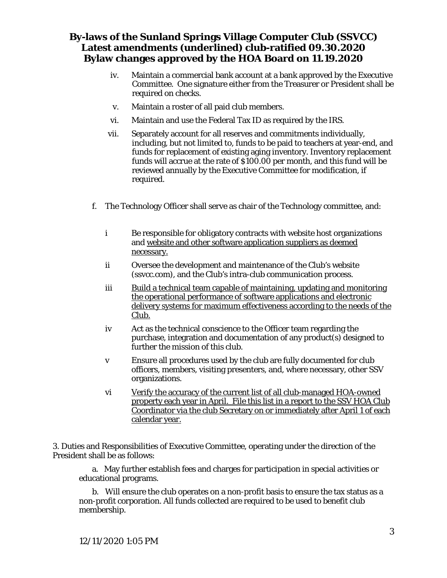- iv. Maintain a commercial bank account at a bank approved by the Executive Committee. One signature either from the Treasurer or President shall be required on checks.
- v. Maintain a roster of all paid club members.
- vi. Maintain and use the Federal Tax ID as required by the IRS.
- vii. Separately account for all reserves and commitments individually, including, but not limited to, funds to be paid to teachers at year-end, and funds for replacement of existing aging inventory. Inventory replacement funds will accrue at the rate of \$100.00 per month, and this fund will be reviewed annually by the Executive Committee for modification, if required.
- f. The Technology Officer shall serve as chair of the Technology committee, and:
	- i Be responsible for obligatory contracts with website host organizations and website and other software application suppliers as deemed necessary.
	- ii Oversee the development and maintenance of the Club's website (ssvcc.com), and the Club's intra-club communication process.
	- iii Build a technical team capable of maintaining, updating and monitoring the operational performance of software applications and electronic delivery systems for maximum effectiveness according to the needs of the Club.
	- iv Act as the technical conscience to the Officer team regarding the purchase, integration and documentation of any product(s) designed to further the mission of this club.
	- v Ensure all procedures used by the club are fully documented for club officers, members, visiting presenters, and, where necessary, other SSV organizations.
	- vi Verify the accuracy of the current list of all club-managed HOA-owned property each year in April. File this list in a report to the SSV HOA Club Coordinator via the club Secretary on or immediately after April 1 of each calendar year.

3. Duties and Responsibilities of Executive Committee, operating under the direction of the President shall be as follows:

a. May further establish fees and charges for participation in special activities or educational programs.

b. Will ensure the club operates on a non-profit basis to ensure the tax status as a non-profit corporation. All funds collected are required to be used to benefit club membership.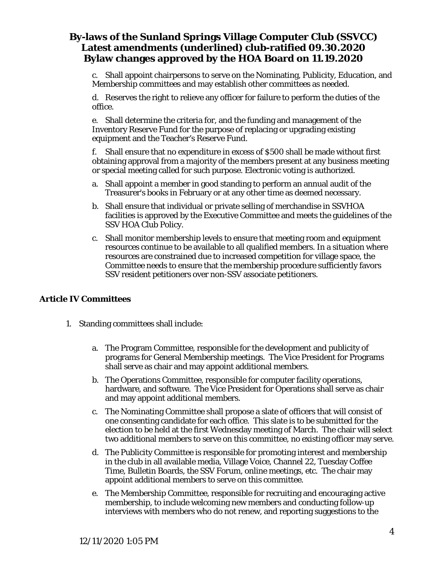c. Shall appoint chairpersons to serve on the Nominating, Publicity, Education, and Membership committees and may establish other committees as needed.

d. Reserves the right to relieve any officer for failure to perform the duties of the office.

e. Shall determine the criteria for, and the funding and management of the Inventory Reserve Fund for the purpose of replacing or upgrading existing equipment and the Teacher's Reserve Fund.

f. Shall ensure that no expenditure in excess of \$500 shall be made without first obtaining approval from a majority of the members present at any business meeting or special meeting called for such purpose. Electronic voting is authorized.

- a. Shall appoint a member in good standing to perform an annual audit of the Treasurer's books in February or at any other time as deemed necessary.
- b. Shall ensure that individual or private selling of merchandise in SSVHOA facilities is approved by the Executive Committee and meets the guidelines of the SSV HOA Club Policy.
- c. Shall monitor membership levels to ensure that meeting room and equipment resources continue to be available to all qualified members. In a situation where resources are constrained due to increased competition for village space, the Committee needs to ensure that the membership procedure sufficiently favors SSV resident petitioners over non-SSV associate petitioners.

### **Article IV Committees**

- 1. Standing committees shall include:
	- a. The Program Committee, responsible for the development and publicity of programs for General Membership meetings. The Vice President for Programs shall serve as chair and may appoint additional members.
	- b. The Operations Committee, responsible for computer facility operations, hardware, and software. The Vice President for Operations shall serve as chair and may appoint additional members.
	- c. The Nominating Committee shall propose a slate of officers that will consist of one consenting candidate for each office. This slate is to be submitted for the election to be held at the first Wednesday meeting of March. The chair will select two additional members to serve on this committee, no existing officer may serve.
	- d. The Publicity Committee is responsible for promoting interest and membership in the club in all available media, Village Voice, Channel 22, Tuesday Coffee Time, Bulletin Boards, the SSV Forum, online meetings, etc. The chair may appoint additional members to serve on this committee.
	- e. The Membership Committee, responsible for recruiting and encouraging active membership, to include welcoming new members and conducting follow-up interviews with members who do not renew, and reporting suggestions to the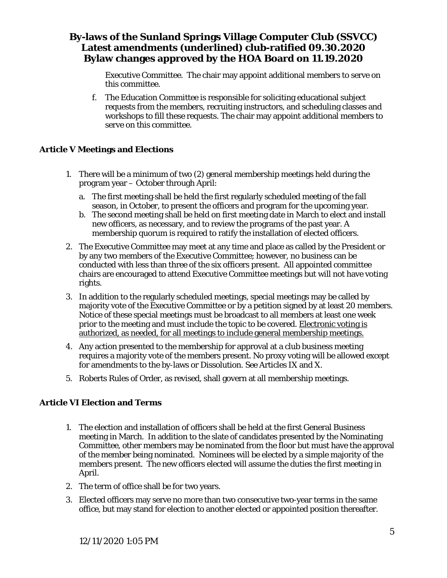Executive Committee. The chair may appoint additional members to serve on this committee.

f. The Education Committee is responsible for soliciting educational subject requests from the members, recruiting instructors, and scheduling classes and workshops to fill these requests. The chair may appoint additional members to serve on this committee.

#### **Article V Meetings and Elections**

- 1. There will be a minimum of two (2) general membership meetings held during the program year – October through April:
	- a. The first meeting shall be held the first regularly scheduled meeting of the fall season, in October, to present the officers and program for the upcoming year.
	- b. The second meeting shall be held on first meeting date in March to elect and install new officers, as necessary, and to review the programs of the past year. A membership quorum is required to ratify the installation of elected officers.
- 2. The Executive Committee may meet at any time and place as called by the President or by any two members of the Executive Committee; however, no business can be conducted with less than three of the six officers present. All appointed committee chairs are encouraged to attend Executive Committee meetings but will not have voting rights.
- 3. In addition to the regularly scheduled meetings, special meetings may be called by majority vote of the Executive Committee or by a petition signed by at least 20 members. Notice of these special meetings must be broadcast to all members at least one week prior to the meeting and must include the topic to be covered. Electronic voting is authorized, as needed, for all meetings to include general membership meetings.
- 4. Any action presented to the membership for approval at a club business meeting requires a majority vote of the members present. No proxy voting will be allowed except for amendments to the by-laws or Dissolution. See Articles IX and X.
- 5. Roberts Rules of Order, as revised, shall govern at all membership meetings.

#### **Article VI Election and Terms**

- 1. The election and installation of officers shall be held at the first General Business meeting in March. In addition to the slate of candidates presented by the Nominating Committee, other members may be nominated from the floor but must have the approval of the member being nominated. Nominees will be elected by a simple majority of the members present. The new officers elected will assume the duties the first meeting in April.
- 2. The term of office shall be for two years.
- 3. Elected officers may serve no more than two consecutive two-year terms in the same office, but may stand for election to another elected or appointed position thereafter.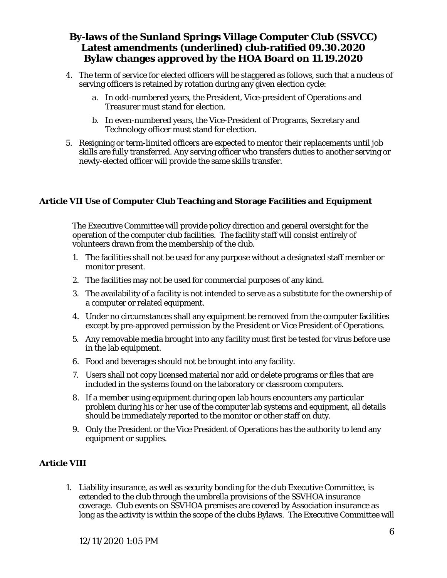- 4. The term of service for elected officers will be staggered as follows, such that a nucleus of serving officers is retained by rotation during any given election cycle:
	- a. In odd-numbered years, the President, Vice-president of Operations and Treasurer must stand for election.
	- b. In even-numbered years, the Vice-President of Programs, Secretary and Technology officer must stand for election.
- 5. Resigning or term-limited officers are expected to mentor their replacements until job skills are fully transferred. Any serving officer who transfers duties to another serving or newly-elected officer will provide the same skills transfer.

### **Article VII Use of Computer Club Teaching and Storage Facilities and Equipment**

The Executive Committee will provide policy direction and general oversight for the operation of the computer club facilities. The facility staff will consist entirely of volunteers drawn from the membership of the club.

- 1. The facilities shall not be used for any purpose without a designated staff member or monitor present.
- 2. The facilities may not be used for commercial purposes of any kind.
- 3. The availability of a facility is not intended to serve as a substitute for the ownership of a computer or related equipment.
- 4. Under no circumstances shall any equipment be removed from the computer facilities except by pre-approved permission by the President or Vice President of Operations.
- 5. Any removable media brought into any facility must first be tested for virus before use in the lab equipment.
- 6. Food and beverages should not be brought into any facility.
- 7. Users shall not copy licensed material nor add or delete programs or files that are included in the systems found on the laboratory or classroom computers.
- 8. If a member using equipment during open lab hours encounters any particular problem during his or her use of the computer lab systems and equipment, all details should be immediately reported to the monitor or other staff on duty.
- 9. Only the President or the Vice President of Operations has the authority to lend any equipment or supplies.

### **Article VIII**

1. Liability insurance, as well as security bonding for the club Executive Committee, is extended to the club through the umbrella provisions of the SSVHOA insurance coverage. Club events on SSVHOA premises are covered by Association insurance as long as the activity is within the scope of the clubs Bylaws. The Executive Committee will